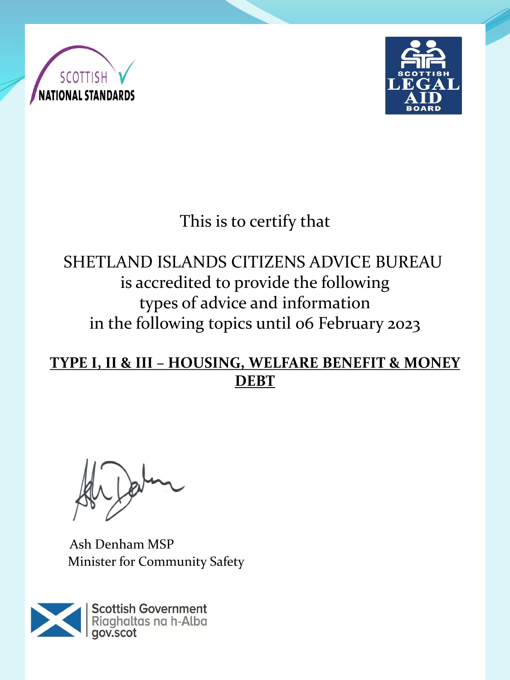



# This is to certify that

## SHETLAND ISLANDS CITIZENS ADVICE BUREAU is accredited to provide the following types of advice and information in the following topics until 06 February 2023

#### **TYPE I, II & III – HOUSING, WELFARE BENEFIT & MONEY DEBT**

Ash Denham MSP Minister for Community Safety

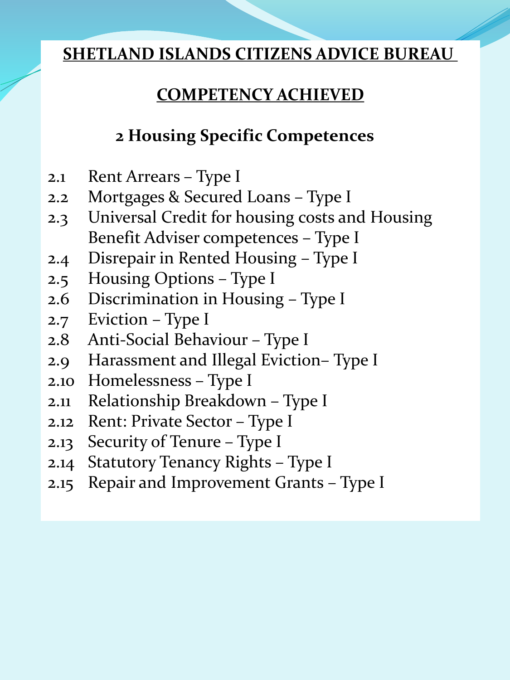#### **SHETLAND ISLANDS CITIZENS ADVICE BUREAU**

### **COMPETENCY ACHIEVED**

### **2 Housing Specific Competences**

- 2.1 Rent Arrears Type I
- 2.2 Mortgages & Secured Loans Type I
- 2.3 Universal Credit for housing costs and Housing Benefit Adviser competences – Type I
- 2.4 Disrepair in Rented Housing Type I
- 2.5 Housing Options Type I
- 2.6 Discrimination in Housing Type I
- 2.7 Eviction Type I
- 2.8 Anti-Social Behaviour Type I
- 2.9 Harassment and Illegal Eviction– Type I
- 2.10 Homelessness Type I
- 2.11 Relationship Breakdown Type I
- 2.12 Rent: Private Sector Type I
- 2.13 Security of Tenure Type I
- 2.14 Statutory Tenancy Rights Type I
- 2.15 Repair and Improvement Grants Type I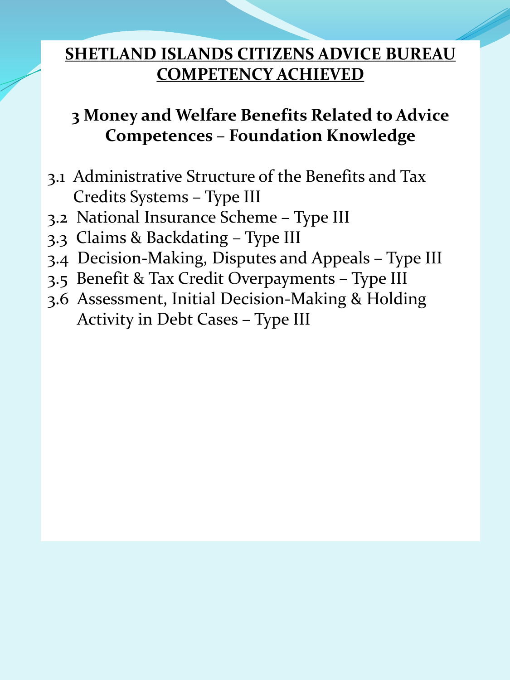## **3 Money and Welfare Benefits Related to Advice Competences – Foundation Knowledge**

- 3.1 Administrative Structure of the Benefits and Tax Credits Systems – Type III
- 3.2 National Insurance Scheme Type III
- 3.3 Claims & Backdating Type III
- 3.4 Decision-Making, Disputes and Appeals Type III
- 3.5 Benefit & Tax Credit Overpayments Type III
- 3.6 Assessment, Initial Decision-Making & Holding Activity in Debt Cases – Type III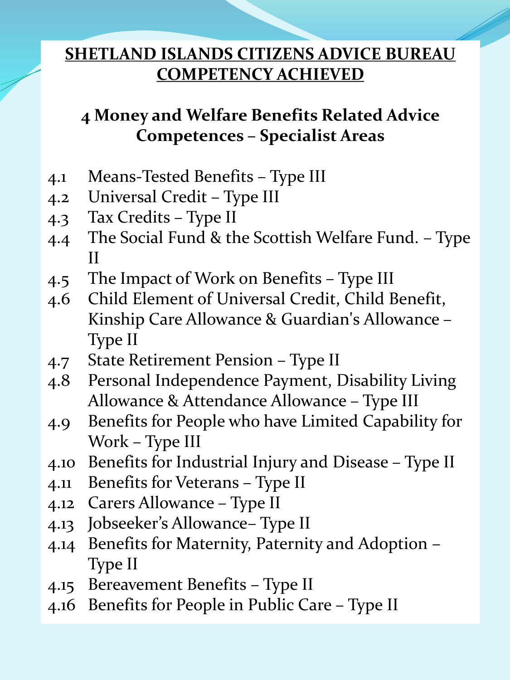## **4 Money and Welfare Benefits Related Advice Competences – Specialist Areas**

- 4.1 Means-Tested Benefits Type III
- 4.2 Universal Credit Type III
- 4.3 Tax Credits Type II
- 4.4 The Social Fund & the Scottish Welfare Fund. Type II
- 4.5 The Impact of Work on Benefits Type III
- 4.6 Child Element of Universal Credit, Child Benefit, Kinship Care Allowance & Guardian's Allowance – Type II
- 4.7 State Retirement Pension Type II
- 4.8 Personal Independence Payment, Disability Living Allowance & Attendance Allowance – Type III
- 4.9 Benefits for People who have Limited Capability for Work – Type III
- 4.10 Benefits for Industrial Injury and Disease Type II
- 4.11 Benefits for Veterans Type II
- 4.12 Carers Allowance Type II
- 4.13 Jobseeker's Allowance– Type II
- 4.14 Benefits for Maternity, Paternity and Adoption Type II
- 4.15 Bereavement Benefits Type II
- 4.16 Benefits for People in Public Care Type II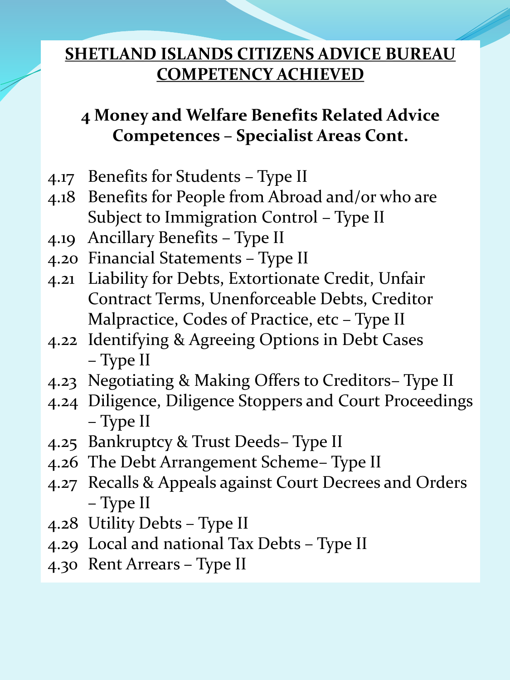## **4 Money and Welfare Benefits Related Advice Competences – Specialist Areas Cont.**

- 4.17 Benefits for Students Type II
- 4.18 Benefits for People from Abroad and/or who are Subject to Immigration Control – Type II
- 4.19 Ancillary Benefits Type II
- 4.20 Financial Statements Type II
- 4.21 Liability for Debts, Extortionate Credit, Unfair Contract Terms, Unenforceable Debts, Creditor Malpractice, Codes of Practice, etc – Type II
- 4.22 Identifying & Agreeing Options in Debt Cases – Type II
- 4.23 Negotiating & Making Offers to Creditors– Type II
- 4.24 Diligence, Diligence Stoppers and Court Proceedings – Type II
- 4.25 Bankruptcy & Trust Deeds– Type II
- 4.26 The Debt Arrangement Scheme– Type II
- 4.27 Recalls & Appeals against Court Decrees and Orders – Type II
- 4.28 Utility Debts Type II
- 4.29 Local and national Tax Debts Type II
- 4.30 Rent Arrears Type II